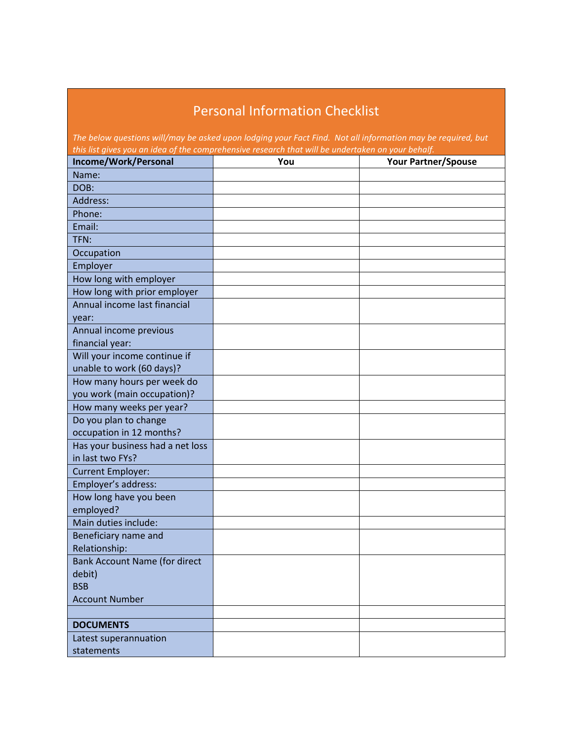## Personal Information Checklist

| The below questions will/may be asked upon lodging your Fact Find. Not all information may be required, but<br>this list gives you an idea of the comprehensive research that will be undertaken on your behalf. |     |                            |  |
|------------------------------------------------------------------------------------------------------------------------------------------------------------------------------------------------------------------|-----|----------------------------|--|
| Income/Work/Personal                                                                                                                                                                                             | You | <b>Your Partner/Spouse</b> |  |
| Name:                                                                                                                                                                                                            |     |                            |  |
| DOB:                                                                                                                                                                                                             |     |                            |  |
| Address:                                                                                                                                                                                                         |     |                            |  |
| Phone:                                                                                                                                                                                                           |     |                            |  |
| Email:                                                                                                                                                                                                           |     |                            |  |
| TFN:                                                                                                                                                                                                             |     |                            |  |
| Occupation                                                                                                                                                                                                       |     |                            |  |
| Employer                                                                                                                                                                                                         |     |                            |  |
| How long with employer                                                                                                                                                                                           |     |                            |  |
| How long with prior employer                                                                                                                                                                                     |     |                            |  |
| Annual income last financial                                                                                                                                                                                     |     |                            |  |
| vear:                                                                                                                                                                                                            |     |                            |  |
| Annual income previous                                                                                                                                                                                           |     |                            |  |
| financial year:                                                                                                                                                                                                  |     |                            |  |
| Will your income continue if                                                                                                                                                                                     |     |                            |  |
| unable to work (60 days)?                                                                                                                                                                                        |     |                            |  |
| How many hours per week do                                                                                                                                                                                       |     |                            |  |
| you work (main occupation)?                                                                                                                                                                                      |     |                            |  |
| How many weeks per year?                                                                                                                                                                                         |     |                            |  |
| Do you plan to change<br>occupation in 12 months?                                                                                                                                                                |     |                            |  |
| Has your business had a net loss                                                                                                                                                                                 |     |                            |  |
| in last two FYs?                                                                                                                                                                                                 |     |                            |  |
| <b>Current Employer:</b>                                                                                                                                                                                         |     |                            |  |
| Employer's address:                                                                                                                                                                                              |     |                            |  |
| How long have you been                                                                                                                                                                                           |     |                            |  |
| employed?                                                                                                                                                                                                        |     |                            |  |
| Main duties include:                                                                                                                                                                                             |     |                            |  |
| Beneficiary name and                                                                                                                                                                                             |     |                            |  |
| Relationship:                                                                                                                                                                                                    |     |                            |  |
| <b>Bank Account Name (for direct</b>                                                                                                                                                                             |     |                            |  |
| debit)                                                                                                                                                                                                           |     |                            |  |
| <b>BSB</b>                                                                                                                                                                                                       |     |                            |  |
| <b>Account Number</b>                                                                                                                                                                                            |     |                            |  |
|                                                                                                                                                                                                                  |     |                            |  |
| <b>DOCUMENTS</b>                                                                                                                                                                                                 |     |                            |  |
| Latest superannuation                                                                                                                                                                                            |     |                            |  |
| statements                                                                                                                                                                                                       |     |                            |  |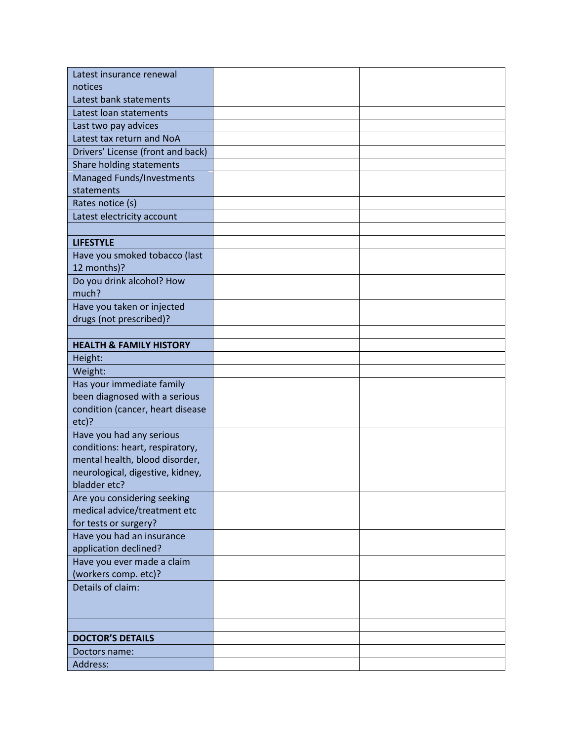| Latest insurance renewal                         |  |
|--------------------------------------------------|--|
| notices                                          |  |
| Latest bank statements                           |  |
| Latest loan statements                           |  |
| Last two pay advices                             |  |
| Latest tax return and NoA                        |  |
| Drivers' License (front and back)                |  |
| Share holding statements                         |  |
| Managed Funds/Investments                        |  |
| statements                                       |  |
| Rates notice (s)                                 |  |
| Latest electricity account                       |  |
|                                                  |  |
| <b>LIFESTYLE</b>                                 |  |
| Have you smoked tobacco (last                    |  |
| 12 months)?                                      |  |
| Do you drink alcohol? How                        |  |
| much?                                            |  |
| Have you taken or injected                       |  |
| drugs (not prescribed)?                          |  |
|                                                  |  |
| <b>HEALTH &amp; FAMILY HISTORY</b>               |  |
| Height:                                          |  |
| Weight:                                          |  |
| Has your immediate family                        |  |
| been diagnosed with a serious                    |  |
| condition (cancer, heart disease                 |  |
| $etc$ ?                                          |  |
| Have you had any serious                         |  |
| conditions: heart, respiratory,                  |  |
| mental health, blood disorder,                   |  |
| neurological, digestive, kidney,<br>bladder etc? |  |
| Are you considering seeking                      |  |
| medical advice/treatment etc                     |  |
| for tests or surgery?                            |  |
| Have you had an insurance                        |  |
| application declined?                            |  |
| Have you ever made a claim                       |  |
| (workers comp. etc)?                             |  |
| Details of claim:                                |  |
|                                                  |  |
|                                                  |  |
|                                                  |  |
| <b>DOCTOR'S DETAILS</b>                          |  |
| Doctors name:                                    |  |
| Address:                                         |  |